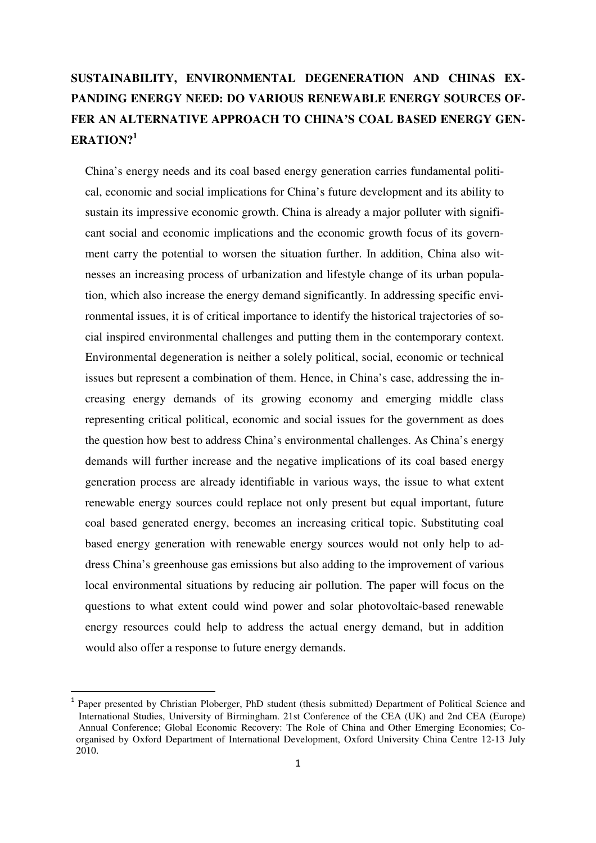# **SUSTAINABILITY, ENVIRONMENTAL DEGENERATION AND CHINAS EX-PANDING ENERGY NEED: DO VARIOUS RENEWABLE ENERGY SOURCES OF-FER AN ALTERNATIVE APPROACH TO CHINA'S COAL BASED ENERGY GEN-ERATION?<sup>1</sup>**

China's energy needs and its coal based energy generation carries fundamental political, economic and social implications for China's future development and its ability to sustain its impressive economic growth. China is already a major polluter with significant social and economic implications and the economic growth focus of its government carry the potential to worsen the situation further. In addition, China also witnesses an increasing process of urbanization and lifestyle change of its urban population, which also increase the energy demand significantly. In addressing specific environmental issues, it is of critical importance to identify the historical trajectories of social inspired environmental challenges and putting them in the contemporary context. Environmental degeneration is neither a solely political, social, economic or technical issues but represent a combination of them. Hence, in China's case, addressing the increasing energy demands of its growing economy and emerging middle class representing critical political, economic and social issues for the government as does the question how best to address China's environmental challenges. As China's energy demands will further increase and the negative implications of its coal based energy generation process are already identifiable in various ways, the issue to what extent renewable energy sources could replace not only present but equal important, future coal based generated energy, becomes an increasing critical topic. Substituting coal based energy generation with renewable energy sources would not only help to address China's greenhouse gas emissions but also adding to the improvement of various local environmental situations by reducing air pollution. The paper will focus on the questions to what extent could wind power and solar photovoltaic-based renewable energy resources could help to address the actual energy demand, but in addition would also offer a response to future energy demands.

<sup>1</sup> Paper presented by Christian Ploberger, PhD student (thesis submitted) Department of Political Science and International Studies, University of Birmingham. 21st Conference of the CEA (UK) and 2nd CEA (Europe) Annual Conference; Global Economic Recovery: The Role of China and Other Emerging Economies; Co organised by Oxford Department of International Development, Oxford University China Centre 12-13 July 2010.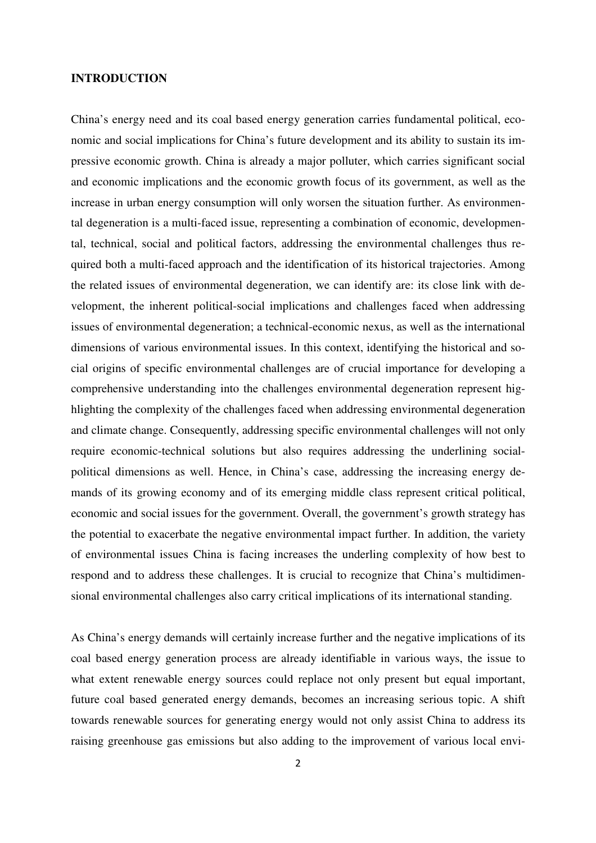#### **INTRODUCTION**

China's energy need and its coal based energy generation carries fundamental political, economic and social implications for China's future development and its ability to sustain its impressive economic growth. China is already a major polluter, which carries significant social and economic implications and the economic growth focus of its government, as well as the increase in urban energy consumption will only worsen the situation further. As environmental degeneration is a multi-faced issue, representing a combination of economic, developmental, technical, social and political factors, addressing the environmental challenges thus required both a multi-faced approach and the identification of its historical trajectories. Among the related issues of environmental degeneration, we can identify are: its close link with development, the inherent political-social implications and challenges faced when addressing issues of environmental degeneration; a technical-economic nexus, as well as the international dimensions of various environmental issues. In this context, identifying the historical and social origins of specific environmental challenges are of crucial importance for developing a comprehensive understanding into the challenges environmental degeneration represent highlighting the complexity of the challenges faced when addressing environmental degeneration and climate change. Consequently, addressing specific environmental challenges will not only require economic-technical solutions but also requires addressing the underlining socialpolitical dimensions as well. Hence, in China's case, addressing the increasing energy demands of its growing economy and of its emerging middle class represent critical political, economic and social issues for the government. Overall, the government's growth strategy has the potential to exacerbate the negative environmental impact further. In addition, the variety of environmental issues China is facing increases the underling complexity of how best to respond and to address these challenges. It is crucial to recognize that China's multidimensional environmental challenges also carry critical implications of its international standing.

As China's energy demands will certainly increase further and the negative implications of its coal based energy generation process are already identifiable in various ways, the issue to what extent renewable energy sources could replace not only present but equal important, future coal based generated energy demands, becomes an increasing serious topic. A shift towards renewable sources for generating energy would not only assist China to address its raising greenhouse gas emissions but also adding to the improvement of various local envi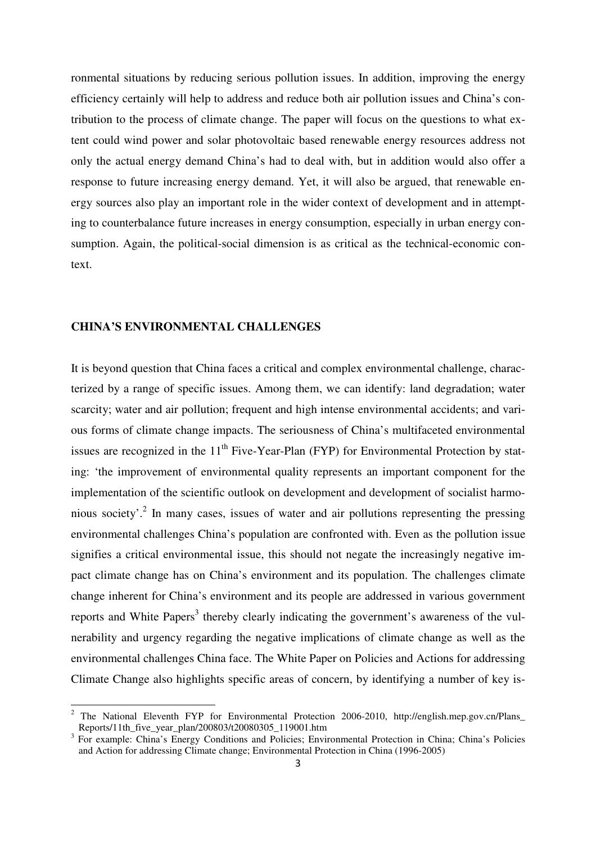ronmental situations by reducing serious pollution issues. In addition, improving the energy efficiency certainly will help to address and reduce both air pollution issues and China's contribution to the process of climate change. The paper will focus on the questions to what extent could wind power and solar photovoltaic based renewable energy resources address not only the actual energy demand China's had to deal with, but in addition would also offer a response to future increasing energy demand. Yet, it will also be argued, that renewable energy sources also play an important role in the wider context of development and in attempting to counterbalance future increases in energy consumption, especially in urban energy consumption. Again, the political-social dimension is as critical as the technical-economic context.

### **CHINA'S ENVIRONMENTAL CHALLENGES**

l

It is beyond question that China faces a critical and complex environmental challenge, characterized by a range of specific issues. Among them, we can identify: land degradation; water scarcity; water and air pollution; frequent and high intense environmental accidents; and various forms of climate change impacts. The seriousness of China's multifaceted environmental issues are recognized in the  $11<sup>th</sup>$  Five-Year-Plan (FYP) for Environmental Protection by stating: 'the improvement of environmental quality represents an important component for the implementation of the scientific outlook on development and development of socialist harmonious society'.<sup>2</sup> In many cases, issues of water and air pollutions representing the pressing environmental challenges China's population are confronted with. Even as the pollution issue signifies a critical environmental issue, this should not negate the increasingly negative impact climate change has on China's environment and its population. The challenges climate change inherent for China's environment and its people are addressed in various government reports and White Papers<sup>3</sup> thereby clearly indicating the government's awareness of the vulnerability and urgency regarding the negative implications of climate change as well as the environmental challenges China face. The White Paper on Policies and Actions for addressing Climate Change also highlights specific areas of concern, by identifying a number of key is-

<sup>&</sup>lt;sup>2</sup> The National Eleventh FYP for Environmental Protection 2006-2010, http://english.mep.gov.cn/Plans\_ Reports/11th\_five\_year\_plan/200803/t20080305\_119001.htm

<sup>&</sup>lt;sup>3</sup> For example: China's Energy Conditions and Policies; Environmental Protection in China; China's Policies and Action for addressing Climate change; Environmental Protection in China (1996-2005)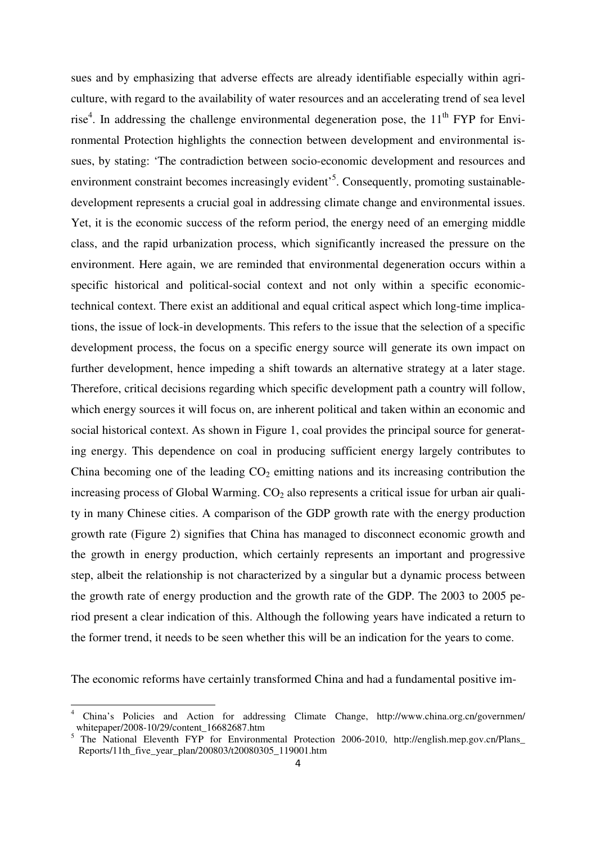sues and by emphasizing that adverse effects are already identifiable especially within agriculture, with regard to the availability of water resources and an accelerating trend of sea level rise<sup>4</sup>. In addressing the challenge environmental degeneration pose, the  $11<sup>th</sup> FYP$  for Environmental Protection highlights the connection between development and environmental issues, by stating: 'The contradiction between socio-economic development and resources and environment constraint becomes increasingly evident<sup>5</sup>. Consequently, promoting sustainabledevelopment represents a crucial goal in addressing climate change and environmental issues. Yet, it is the economic success of the reform period, the energy need of an emerging middle class, and the rapid urbanization process, which significantly increased the pressure on the environment. Here again, we are reminded that environmental degeneration occurs within a specific historical and political-social context and not only within a specific economictechnical context. There exist an additional and equal critical aspect which long-time implications, the issue of lock-in developments. This refers to the issue that the selection of a specific development process, the focus on a specific energy source will generate its own impact on further development, hence impeding a shift towards an alternative strategy at a later stage. Therefore, critical decisions regarding which specific development path a country will follow, which energy sources it will focus on, are inherent political and taken within an economic and social historical context. As shown in Figure 1, coal provides the principal source for generating energy. This dependence on coal in producing sufficient energy largely contributes to China becoming one of the leading  $CO<sub>2</sub>$  emitting nations and its increasing contribution the increasing process of Global Warming.  $CO<sub>2</sub>$  also represents a critical issue for urban air quality in many Chinese cities. A comparison of the GDP growth rate with the energy production growth rate (Figure 2) signifies that China has managed to disconnect economic growth and the growth in energy production, which certainly represents an important and progressive step, albeit the relationship is not characterized by a singular but a dynamic process between the growth rate of energy production and the growth rate of the GDP. The 2003 to 2005 period present a clear indication of this. Although the following years have indicated a return to the former trend, it needs to be seen whether this will be an indication for the years to come.

The economic reforms have certainly transformed China and had a fundamental positive im-

<sup>4</sup> China's Policies and Action for addressing Climate Change, http://www.china.org.cn/governmen/ whitepaper/2008-10/29/content\_16682687.htm

<sup>&</sup>lt;sup>5</sup> The National Eleventh FYP for Environmental Protection 2006-2010, http://english.mep.gov.cn/Plans\_ Reports/11th\_five\_year\_plan/200803/t20080305\_119001.htm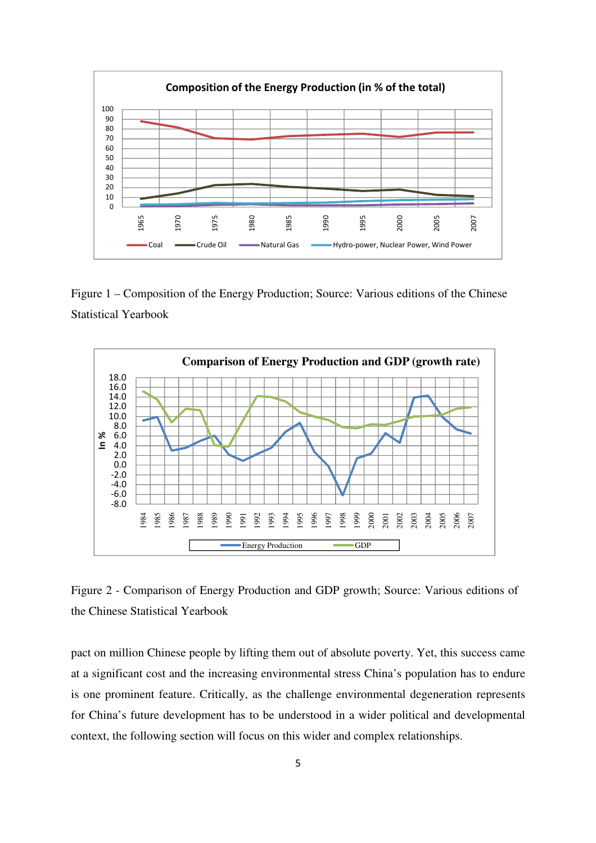

Figure 1 – Composition of the Energy Production; Source: Various editions of the Chinese Statistical Yearbook



Figure 2 - Comparison of Energy Production and GDP growth; Source: Various editions of the Chinese Statistical Yearbook

pact on million Chinese people by lifting them out of absolute poverty. Yet, this success came at a significant cost and the increasing environmental stress China's population has to endure is one prominent feature. Critically, as the challenge environmental degeneration represents for China's future development has to be understood in a wider political and developmental context, the following section will focus on this wider and complex relationships.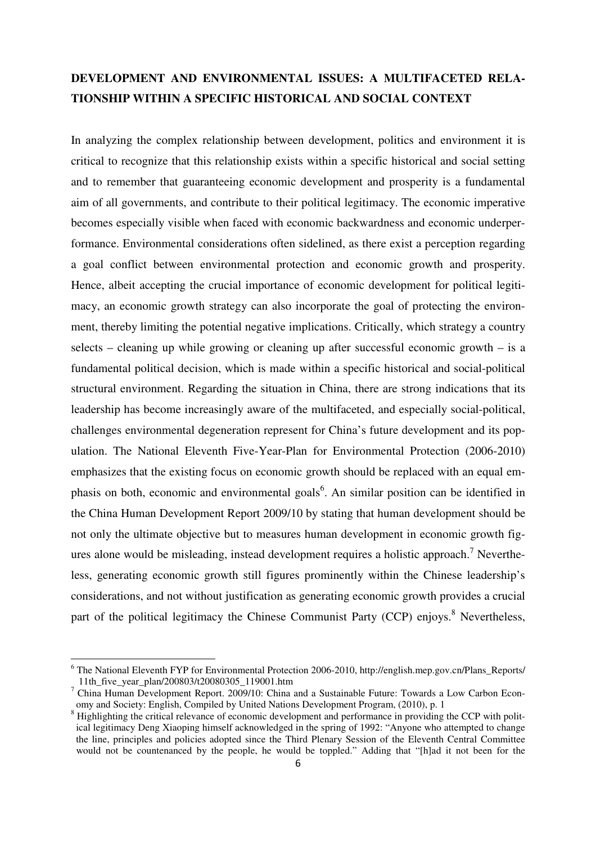# **DEVELOPMENT AND ENVIRONMENTAL ISSUES: A MULTIFACETED RELA-TIONSHIP WITHIN A SPECIFIC HISTORICAL AND SOCIAL CONTEXT**

In analyzing the complex relationship between development, politics and environment it is critical to recognize that this relationship exists within a specific historical and social setting and to remember that guaranteeing economic development and prosperity is a fundamental aim of all governments, and contribute to their political legitimacy. The economic imperative becomes especially visible when faced with economic backwardness and economic underperformance. Environmental considerations often sidelined, as there exist a perception regarding a goal conflict between environmental protection and economic growth and prosperity. Hence, albeit accepting the crucial importance of economic development for political legitimacy, an economic growth strategy can also incorporate the goal of protecting the environment, thereby limiting the potential negative implications. Critically, which strategy a country selects – cleaning up while growing or cleaning up after successful economic growth – is a fundamental political decision, which is made within a specific historical and social-political structural environment. Regarding the situation in China, there are strong indications that its leadership has become increasingly aware of the multifaceted, and especially social-political, challenges environmental degeneration represent for China's future development and its population. The National Eleventh Five-Year-Plan for Environmental Protection (2006-2010) emphasizes that the existing focus on economic growth should be replaced with an equal emphasis on both, economic and environmental goals<sup>6</sup>. An similar position can be identified in the China Human Development Report 2009/10 by stating that human development should be not only the ultimate objective but to measures human development in economic growth figures alone would be misleading, instead development requires a holistic approach.<sup>7</sup> Nevertheless, generating economic growth still figures prominently within the Chinese leadership's considerations, and not without justification as generating economic growth provides a crucial part of the political legitimacy the Chinese Communist Party (CCP) enjoys.<sup>8</sup> Nevertheless,

<sup>&</sup>lt;sup>6</sup> The National Eleventh FYP for Environmental Protection 2006-2010, http://english.mep.gov.cn/Plans\_Reports/ 11th\_five\_year\_plan/200803/t20080305\_119001.htm

<sup>7</sup> China Human Development Report. 2009/10: China and a Sustainable Future: Towards a Low Carbon Econ omy and Society: English, Compiled by United Nations Development Program, (2010), p. 1

<sup>&</sup>lt;sup>8</sup> Highlighting the critical relevance of economic development and performance in providing the CCP with polit ical legitimacy Deng Xiaoping himself acknowledged in the spring of 1992: "Anyone who attempted to change the line, principles and policies adopted since the Third Plenary Session of the Eleventh Central Committee would not be countenanced by the people, he would be toppled." Adding that "[h]ad it not been for the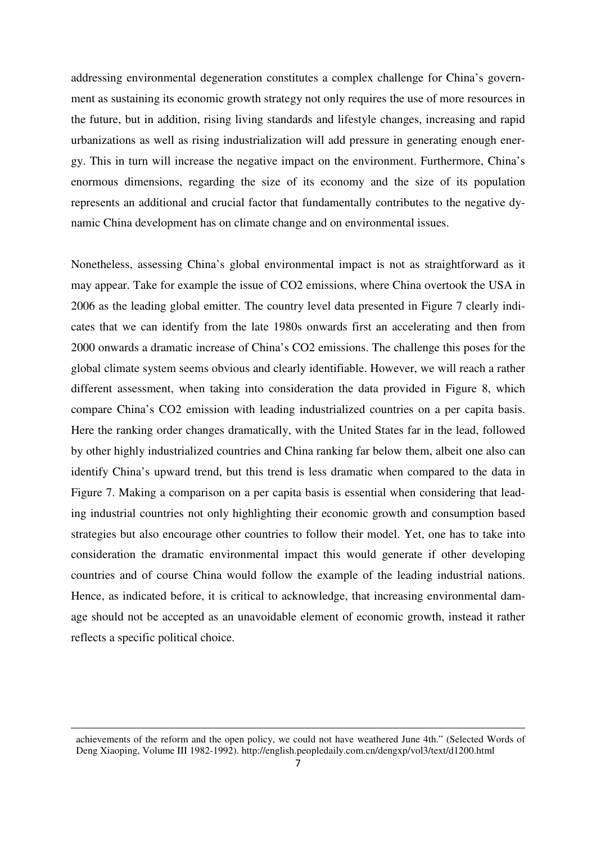addressing environmental degeneration constitutes a complex challenge for China's government as sustaining its economic growth strategy not only requires the use of more resources in the future, but in addition, rising living standards and lifestyle changes, increasing and rapid urbanizations as well as rising industrialization will add pressure in generating enough energy. This in turn will increase the negative impact on the environment. Furthermore, China's enormous dimensions, regarding the size of its economy and the size of its population represents an additional and crucial factor that fundamentally contributes to the negative dynamic China development has on climate change and on environmental issues.

Nonetheless, assessing China's global environmental impact is not as straightforward as it may appear. Take for example the issue of CO2 emissions, where China overtook the USA in 2006 as the leading global emitter. The country level data presented in Figure 7 clearly indicates that we can identify from the late 1980s onwards first an accelerating and then from 2000 onwards a dramatic increase of China's CO2 emissions. The challenge this poses for the global climate system seems obvious and clearly identifiable. However, we will reach a rather different assessment, when taking into consideration the data provided in Figure 8, which compare China's CO2 emission with leading industrialized countries on a per capita basis. Here the ranking order changes dramatically, with the United States far in the lead, followed by other highly industrialized countries and China ranking far below them, albeit one also can identify China's upward trend, but this trend is less dramatic when compared to the data in Figure 7. Making a comparison on a per capita basis is essential when considering that leading industrial countries not only highlighting their economic growth and consumption based strategies but also encourage other countries to follow their model. Yet, one has to take into consideration the dramatic environmental impact this would generate if other developing countries and of course China would follow the example of the leading industrial nations. Hence, as indicated before, it is critical to acknowledge, that increasing environmental damage should not be accepted as an unavoidable element of economic growth, instead it rather reflects a specific political choice.

achievements of the reform and the open policy, we could not have weathered June 4th." (Selected Words of Deng Xiaoping, Volume III 1982-1992). http://english.peopledaily.com.cn/dengxp/vol3/text/d1200.html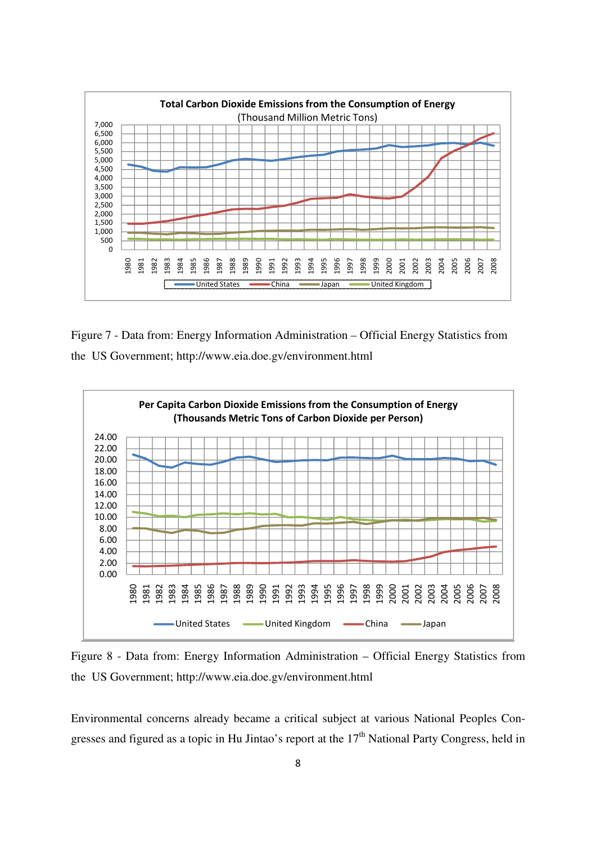

Figure 7 - Data from: Energy Information Administration – Official Energy Statistics from the US Government; http://www.eia.doe.gv/environment.html



Figure 8 - Data from: Energy Information Administration – Official Energy Statistics from the US Government; http://www.eia.doe.gv/environment.html

Environmental concerns already became a critical subject at various National Peoples Congresses and figured as a topic in Hu Jintao's report at the  $17<sup>th</sup>$  National Party Congress, held in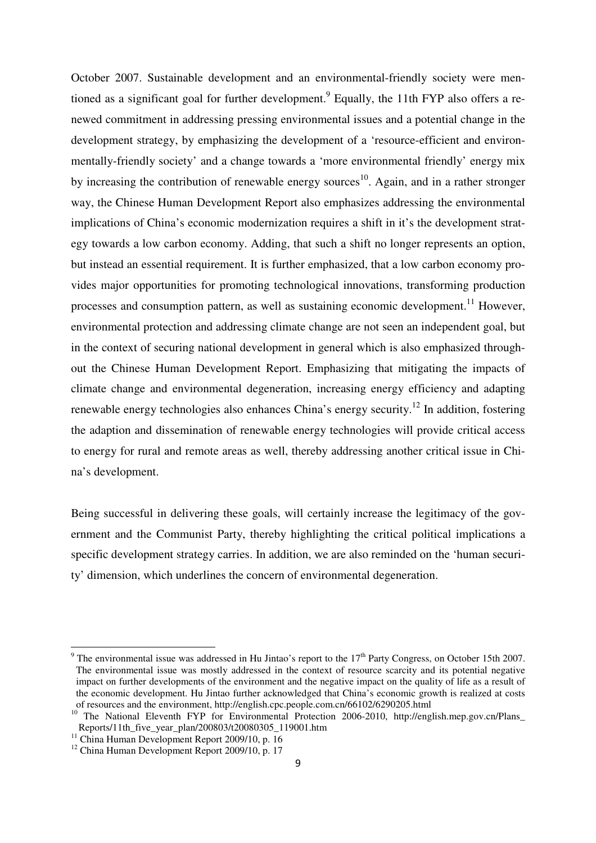October 2007. Sustainable development and an environmental-friendly society were mentioned as a significant goal for further development.<sup>9</sup> Equally, the 11th FYP also offers a renewed commitment in addressing pressing environmental issues and a potential change in the development strategy, by emphasizing the development of a 'resource-efficient and environmentally-friendly society' and a change towards a 'more environmental friendly' energy mix by increasing the contribution of renewable energy sources<sup>10</sup>. Again, and in a rather stronger way, the Chinese Human Development Report also emphasizes addressing the environmental implications of China's economic modernization requires a shift in it's the development strategy towards a low carbon economy. Adding, that such a shift no longer represents an option, but instead an essential requirement. It is further emphasized, that a low carbon economy provides major opportunities for promoting technological innovations, transforming production processes and consumption pattern, as well as sustaining economic development.<sup>11</sup> However, environmental protection and addressing climate change are not seen an independent goal, but in the context of securing national development in general which is also emphasized throughout the Chinese Human Development Report. Emphasizing that mitigating the impacts of climate change and environmental degeneration, increasing energy efficiency and adapting renewable energy technologies also enhances China's energy security.<sup>12</sup> In addition, fostering the adaption and dissemination of renewable energy technologies will provide critical access to energy for rural and remote areas as well, thereby addressing another critical issue in China's development.

Being successful in delivering these goals, will certainly increase the legitimacy of the government and the Communist Party, thereby highlighting the critical political implications a specific development strategy carries. In addition, we are also reminded on the 'human security' dimension, which underlines the concern of environmental degeneration.

<sup>&</sup>lt;sup>9</sup> The environmental issue was addressed in Hu Jintao's report to the  $17<sup>th</sup>$  Party Congress, on October 15th 2007. The environmental issue was mostly addressed in the context of resource scarcity and its potential negative impact on further developments of the environment and the negative impact on the quality of life as a result of the economic development. Hu Jintao further acknowledged that China's economic growth is realized at costs of resources and the environment, http://english.cpc.people.com.cn/66102/6290205.html

<sup>&</sup>lt;sup>10</sup> The National Eleventh FYP for Environmental Protection 2006-2010, http://english.mep.gov.cn/Plans\_ Reports/11th\_five\_year\_plan/200803/t20080305\_119001.htm

 $11$  China Human Development Report 2009/10, p. 16

<sup>&</sup>lt;sup>12</sup> China Human Development Report 2009/10, p. 17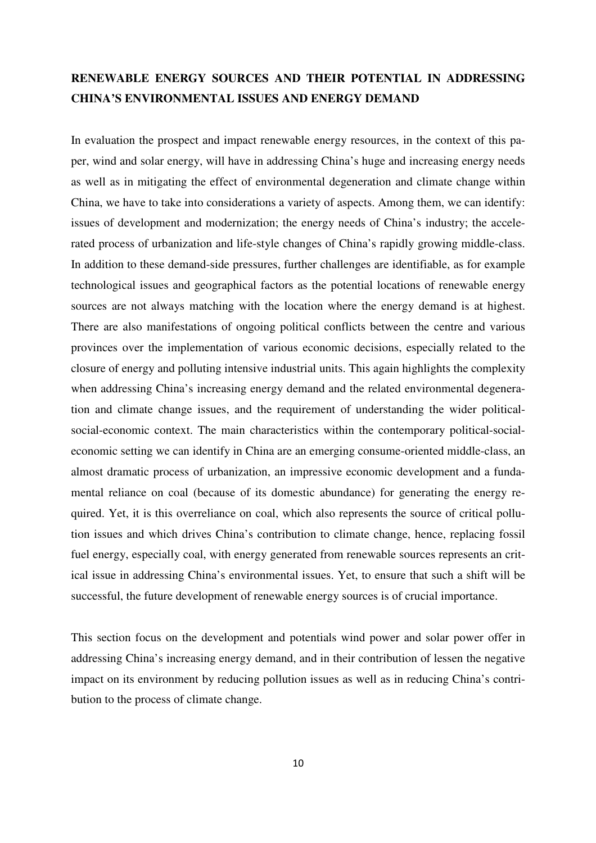# **RENEWABLE ENERGY SOURCES AND THEIR POTENTIAL IN ADDRESSING CHINA'S ENVIRONMENTAL ISSUES AND ENERGY DEMAND**

In evaluation the prospect and impact renewable energy resources, in the context of this paper, wind and solar energy, will have in addressing China's huge and increasing energy needs as well as in mitigating the effect of environmental degeneration and climate change within China, we have to take into considerations a variety of aspects. Among them, we can identify: issues of development and modernization; the energy needs of China's industry; the accelerated process of urbanization and life-style changes of China's rapidly growing middle-class. In addition to these demand-side pressures, further challenges are identifiable, as for example technological issues and geographical factors as the potential locations of renewable energy sources are not always matching with the location where the energy demand is at highest. There are also manifestations of ongoing political conflicts between the centre and various provinces over the implementation of various economic decisions, especially related to the closure of energy and polluting intensive industrial units. This again highlights the complexity when addressing China's increasing energy demand and the related environmental degeneration and climate change issues, and the requirement of understanding the wider politicalsocial-economic context. The main characteristics within the contemporary political-socialeconomic setting we can identify in China are an emerging consume-oriented middle-class, an almost dramatic process of urbanization, an impressive economic development and a fundamental reliance on coal (because of its domestic abundance) for generating the energy required. Yet, it is this overreliance on coal, which also represents the source of critical pollution issues and which drives China's contribution to climate change, hence, replacing fossil fuel energy, especially coal, with energy generated from renewable sources represents an critical issue in addressing China's environmental issues. Yet, to ensure that such a shift will be successful, the future development of renewable energy sources is of crucial importance.

This section focus on the development and potentials wind power and solar power offer in addressing China's increasing energy demand, and in their contribution of lessen the negative impact on its environment by reducing pollution issues as well as in reducing China's contribution to the process of climate change.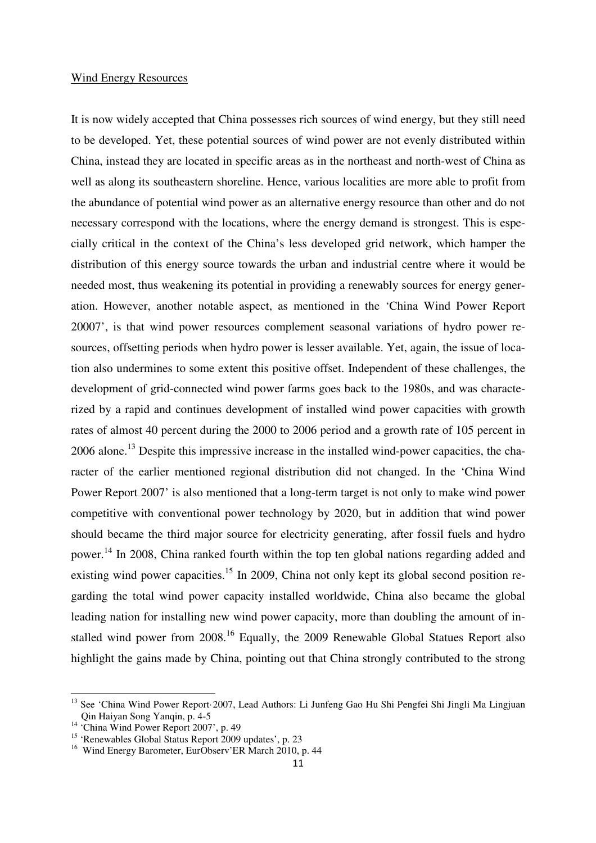#### Wind Energy Resources

It is now widely accepted that China possesses rich sources of wind energy, but they still need to be developed. Yet, these potential sources of wind power are not evenly distributed within China, instead they are located in specific areas as in the northeast and north-west of China as well as along its southeastern shoreline. Hence, various localities are more able to profit from the abundance of potential wind power as an alternative energy resource than other and do not necessary correspond with the locations, where the energy demand is strongest. This is especially critical in the context of the China's less developed grid network, which hamper the distribution of this energy source towards the urban and industrial centre where it would be needed most, thus weakening its potential in providing a renewably sources for energy generation. However, another notable aspect, as mentioned in the 'China Wind Power Report 20007', is that wind power resources complement seasonal variations of hydro power resources, offsetting periods when hydro power is lesser available. Yet, again, the issue of location also undermines to some extent this positive offset. Independent of these challenges, the development of grid-connected wind power farms goes back to the 1980s, and was characterized by a rapid and continues development of installed wind power capacities with growth rates of almost 40 percent during the 2000 to 2006 period and a growth rate of 105 percent in  $2006$  alone.<sup>13</sup> Despite this impressive increase in the installed wind-power capacities, the character of the earlier mentioned regional distribution did not changed. In the 'China Wind Power Report 2007' is also mentioned that a long-term target is not only to make wind power competitive with conventional power technology by 2020, but in addition that wind power should became the third major source for electricity generating, after fossil fuels and hydro power.<sup>14</sup> In 2008, China ranked fourth within the top ten global nations regarding added and existing wind power capacities.<sup>15</sup> In 2009, China not only kept its global second position regarding the total wind power capacity installed worldwide, China also became the global leading nation for installing new wind power capacity, more than doubling the amount of installed wind power from 2008.<sup>16</sup> Equally, the 2009 Renewable Global Statues Report also highlight the gains made by China, pointing out that China strongly contributed to the strong

<sup>&</sup>lt;sup>13</sup> See 'China Wind Power Report·2007, Lead Authors: Li Junfeng Gao Hu Shi Pengfei Shi Jingli Ma Lingjuan Qin Haiyan Song Yanqin, p. 4-5

<sup>&</sup>lt;sup>14</sup> 'China Wind Power Report 2007', p. 49

<sup>15</sup> 'Renewables Global Status Report 2009 updates', p. 23

<sup>&</sup>lt;sup>16</sup> Wind Energy Barometer, EurObserv'ER March 2010, p. 44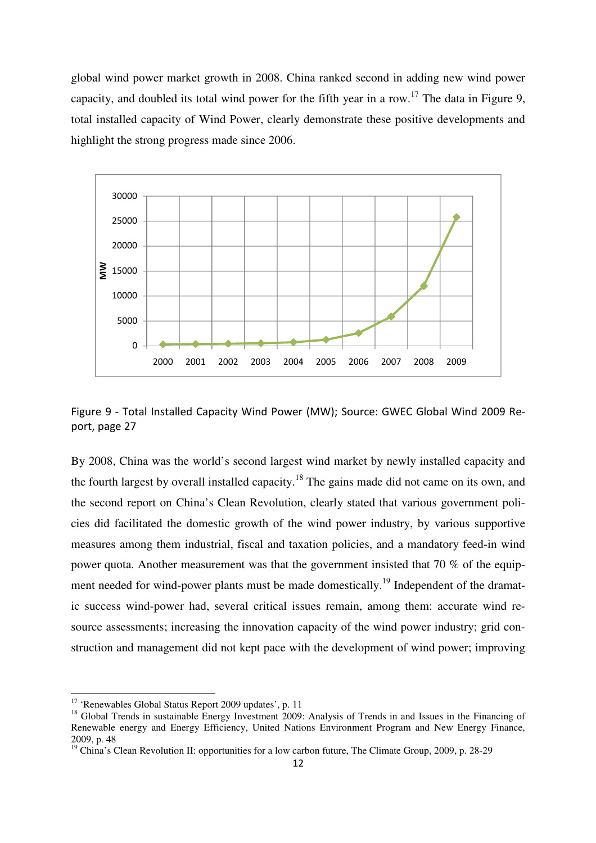global wind power market growth in 2008. China ranked second in adding new wind power capacity, and doubled its total wind power for the fifth year in a row.<sup>17</sup> The data in Figure 9, total installed capacity of Wind Power, clearly demonstrate these positive developments and highlight the strong progress made since 2006.



Figure 9 - Total Installed Capacity Wind Power (MW); Source: GWEC Global Wind 2009 Report, page 27

By 2008, China was the world's second largest wind market by newly installed capacity and the fourth largest by overall installed capacity.<sup>18</sup> The gains made did not came on its own, and the second report on China's Clean Revolution, clearly stated that various government policies did facilitated the domestic growth of the wind power industry, by various supportive measures among them industrial, fiscal and taxation policies, and a mandatory feed-in wind power quota. Another measurement was that the government insisted that 70 % of the equipment needed for wind-power plants must be made domestically.<sup>19</sup> Independent of the dramatic success wind-power had, several critical issues remain, among them: accurate wind resource assessments; increasing the innovation capacity of the wind power industry; grid construction and management did not kept pace with the development of wind power; improving

<sup>&</sup>lt;sup>17</sup> 'Renewables Global Status Report 2009 updates', p. 11

<sup>&</sup>lt;sup>18</sup> Global Trends in sustainable Energy Investment 2009: Analysis of Trends in and Issues in the Financing of Renewable energy and Energy Efficiency, United Nations Environment Program and New Energy Finance, 2009, p. 48

<sup>&</sup>lt;sup>19</sup> China's Clean Revolution II: opportunities for a low carbon future, The Climate Group, 2009, p. 28-29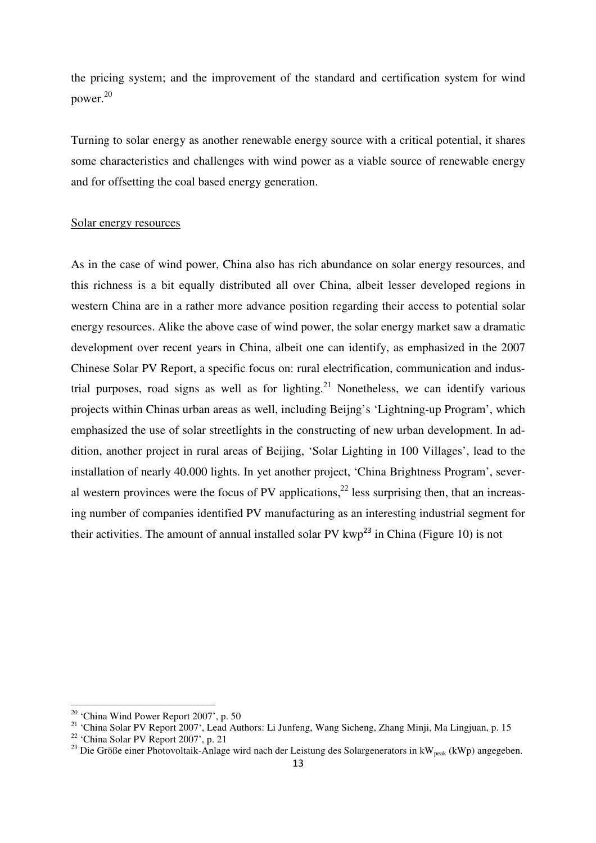the pricing system; and the improvement of the standard and certification system for wind power.<sup>20</sup>

Turning to solar energy as another renewable energy source with a critical potential, it shares some characteristics and challenges with wind power as a viable source of renewable energy and for offsetting the coal based energy generation.

#### Solar energy resources

As in the case of wind power, China also has rich abundance on solar energy resources, and this richness is a bit equally distributed all over China, albeit lesser developed regions in western China are in a rather more advance position regarding their access to potential solar energy resources. Alike the above case of wind power, the solar energy market saw a dramatic development over recent years in China, albeit one can identify, as emphasized in the 2007 Chinese Solar PV Report, a specific focus on: rural electrification, communication and industrial purposes, road signs as well as for lighting.<sup>21</sup> Nonetheless, we can identify various projects within Chinas urban areas as well, including Beijng's 'Lightning-up Program', which emphasized the use of solar streetlights in the constructing of new urban development. In addition, another project in rural areas of Beijing, 'Solar Lighting in 100 Villages', lead to the installation of nearly 40.000 lights. In yet another project, 'China Brightness Program', several western provinces were the focus of PV applications,  $22$  less surprising then, that an increasing number of companies identified PV manufacturing as an interesting industrial segment for their activities. The amount of annual installed solar PV  $kwp^{23}$  in China (Figure 10) is not

<sup>20</sup> 'China Wind Power Report 2007', p. 50

<sup>&</sup>lt;sup>21</sup> 'China Solar PV Report 2007', Lead Authors: Li Junfeng, Wang Sicheng, Zhang Minji, Ma Lingjuan, p. 15

<sup>22</sup> 'China Solar PV Report 2007', p. 21

<sup>&</sup>lt;sup>23</sup> Die Größe einer Photovoltaik-Anlage wird nach der Leistung des Solargenerators in kW<sub>peak</sub> (kWp) angegeben.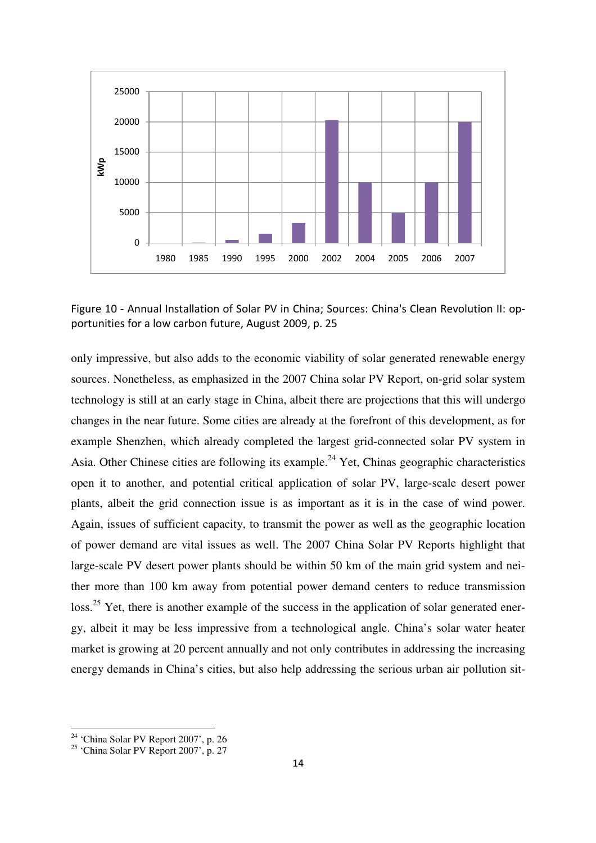

Figure 10 - Annual Installation of Solar PV in China; Sources: China's Clean Revolution II: opportunities for a low carbon future, August 2009, p. 25

only impressive, but also adds to the economic viability of solar generated renewable energy sources. Nonetheless, as emphasized in the 2007 China solar PV Report, on-grid solar system technology is still at an early stage in China, albeit there are projections that this will undergo changes in the near future. Some cities are already at the forefront of this development, as for example Shenzhen, which already completed the largest grid-connected solar PV system in Asia. Other Chinese cities are following its example.<sup>24</sup> Yet, Chinas geographic characteristics open it to another, and potential critical application of solar PV, large-scale desert power plants, albeit the grid connection issue is as important as it is in the case of wind power. Again, issues of sufficient capacity, to transmit the power as well as the geographic location of power demand are vital issues as well. The 2007 China Solar PV Reports highlight that large-scale PV desert power plants should be within 50 km of the main grid system and neither more than 100 km away from potential power demand centers to reduce transmission loss.<sup>25</sup> Yet, there is another example of the success in the application of solar generated energy, albeit it may be less impressive from a technological angle. China's solar water heater market is growing at 20 percent annually and not only contributes in addressing the increasing energy demands in China's cities, but also help addressing the serious urban air pollution sit-

<sup>24</sup> 'China Solar PV Report 2007', p. 26

 $25$  'China Solar PV Report 2007', p. 27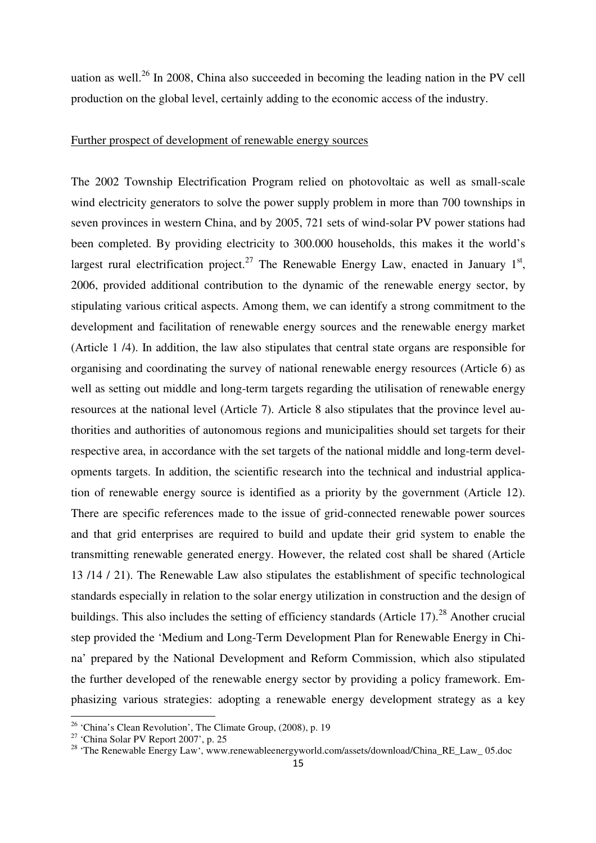uation as well.<sup>26</sup> In 2008, China also succeeded in becoming the leading nation in the PV cell production on the global level, certainly adding to the economic access of the industry.

### Further prospect of development of renewable energy sources

The 2002 Township Electrification Program relied on photovoltaic as well as small-scale wind electricity generators to solve the power supply problem in more than 700 townships in seven provinces in western China, and by 2005, 721 sets of wind-solar PV power stations had been completed. By providing electricity to 300.000 households, this makes it the world's largest rural electrification project.<sup>27</sup> The Renewable Energy Law, enacted in January  $1<sup>st</sup>$ , 2006, provided additional contribution to the dynamic of the renewable energy sector, by stipulating various critical aspects. Among them, we can identify a strong commitment to the development and facilitation of renewable energy sources and the renewable energy market (Article 1 /4). In addition, the law also stipulates that central state organs are responsible for organising and coordinating the survey of national renewable energy resources (Article 6) as well as setting out middle and long-term targets regarding the utilisation of renewable energy resources at the national level (Article 7). Article 8 also stipulates that the province level authorities and authorities of autonomous regions and municipalities should set targets for their respective area, in accordance with the set targets of the national middle and long-term developments targets. In addition, the scientific research into the technical and industrial application of renewable energy source is identified as a priority by the government (Article 12). There are specific references made to the issue of grid-connected renewable power sources and that grid enterprises are required to build and update their grid system to enable the transmitting renewable generated energy. However, the related cost shall be shared (Article 13 /14 / 21). The Renewable Law also stipulates the establishment of specific technological standards especially in relation to the solar energy utilization in construction and the design of buildings. This also includes the setting of efficiency standards (Article 17).<sup>28</sup> Another crucial step provided the 'Medium and Long-Term Development Plan for Renewable Energy in China' prepared by the National Development and Reform Commission, which also stipulated the further developed of the renewable energy sector by providing a policy framework. Emphasizing various strategies: adopting a renewable energy development strategy as a key

 $26$  'China's Clean Revolution', The Climate Group, (2008), p. 19

<sup>27</sup> 'China Solar PV Report 2007', p. 25

<sup>&</sup>lt;sup>28</sup> 'The Renewable Energy Law', www.renewableenergyworld.com/assets/download/China\_RE\_Law\_ 05.doc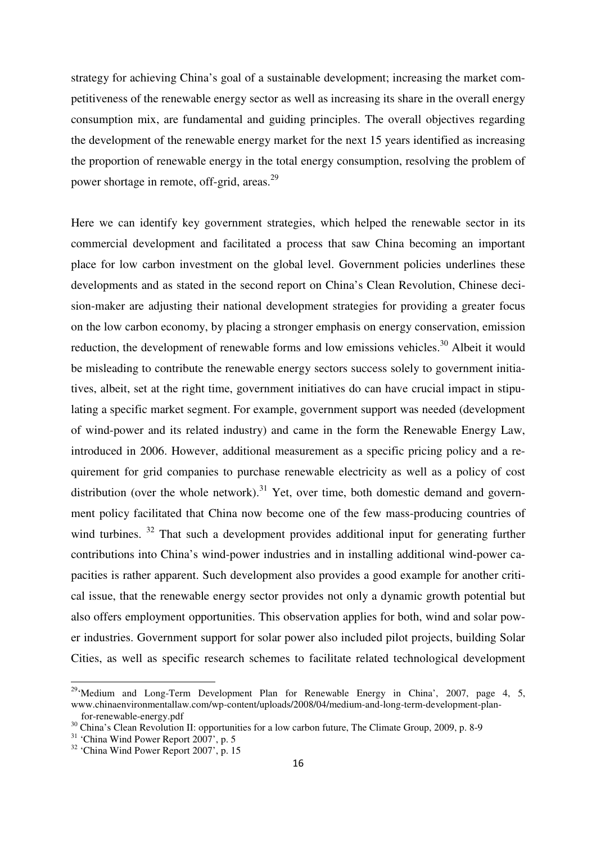strategy for achieving China's goal of a sustainable development; increasing the market competitiveness of the renewable energy sector as well as increasing its share in the overall energy consumption mix, are fundamental and guiding principles. The overall objectives regarding the development of the renewable energy market for the next 15 years identified as increasing the proportion of renewable energy in the total energy consumption, resolving the problem of power shortage in remote, off-grid, areas.<sup>29</sup>

Here we can identify key government strategies, which helped the renewable sector in its commercial development and facilitated a process that saw China becoming an important place for low carbon investment on the global level. Government policies underlines these developments and as stated in the second report on China's Clean Revolution, Chinese decision-maker are adjusting their national development strategies for providing a greater focus on the low carbon economy, by placing a stronger emphasis on energy conservation, emission reduction, the development of renewable forms and low emissions vehicles.<sup>30</sup> Albeit it would be misleading to contribute the renewable energy sectors success solely to government initiatives, albeit, set at the right time, government initiatives do can have crucial impact in stipulating a specific market segment. For example, government support was needed (development of wind-power and its related industry) and came in the form the Renewable Energy Law, introduced in 2006. However, additional measurement as a specific pricing policy and a requirement for grid companies to purchase renewable electricity as well as a policy of cost distribution (over the whole network).<sup>31</sup> Yet, over time, both domestic demand and government policy facilitated that China now become one of the few mass-producing countries of wind turbines. <sup>32</sup> That such a development provides additional input for generating further contributions into China's wind-power industries and in installing additional wind-power capacities is rather apparent. Such development also provides a good example for another critical issue, that the renewable energy sector provides not only a dynamic growth potential but also offers employment opportunities. This observation applies for both, wind and solar power industries. Government support for solar power also included pilot projects, building Solar Cities, as well as specific research schemes to facilitate related technological development

<sup>&</sup>lt;sup>29</sup>'Medium and Long-Term Development Plan for Renewable Energy in China', 2007, page 4, 5, www.chinaenvironmentallaw.com/wp-content/uploads/2008/04/medium-and-long-term-development-plan for-renewable-energy.pdf

<sup>&</sup>lt;sup>30</sup> China's Clean Revolution II: opportunities for a low carbon future, The Climate Group, 2009, p. 8-9

<sup>&</sup>lt;sup>31</sup> 'China Wind Power Report 2007', p. 5

<sup>&</sup>lt;sup>32</sup> 'China Wind Power Report 2007', p. 15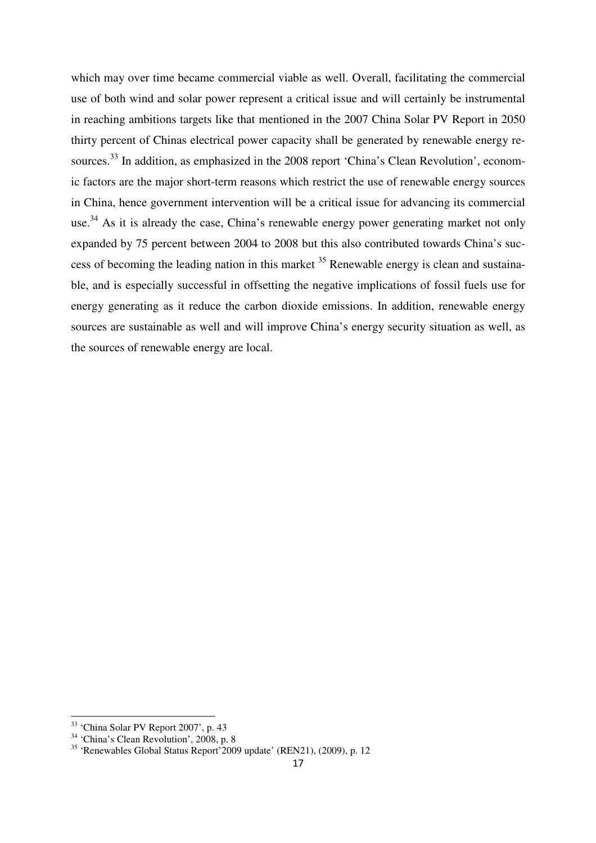which may over time became commercial viable as well. Overall, facilitating the commercial use of both wind and solar power represent a critical issue and will certainly be instrumental in reaching ambitions targets like that mentioned in the 2007 China Solar PV Report in 2050 thirty percent of Chinas electrical power capacity shall be generated by renewable energy resources.<sup>33</sup> In addition, as emphasized in the 2008 report 'China's Clean Revolution', economic factors are the major short-term reasons which restrict the use of renewable energy sources in China, hence government intervention will be a critical issue for advancing its commercial use.<sup>34</sup> As it is already the case, China's renewable energy power generating market not only expanded by 75 percent between 2004 to 2008 but this also contributed towards China's success of becoming the leading nation in this market  $35$  Renewable energy is clean and sustainable, and is especially successful in offsetting the negative implications of fossil fuels use for energy generating as it reduce the carbon dioxide emissions. In addition, renewable energy sources are sustainable as well and will improve China's energy security situation as well, as the sources of renewable energy are local.

<sup>33</sup> 'China Solar PV Report 2007', p. 43

<sup>&</sup>lt;sup>34</sup> 'China's Clean Revolution', 2008, p. 8

<sup>35</sup> 'Renewables Global Status Report'2009 update' (REN21), (2009), p. 12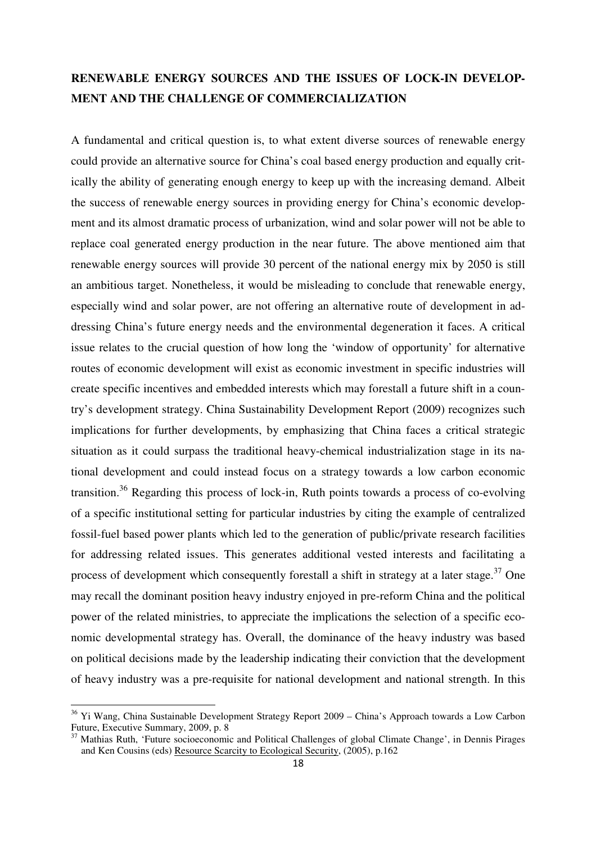# **RENEWABLE ENERGY SOURCES AND THE ISSUES OF LOCK-IN DEVELOP-MENT AND THE CHALLENGE OF COMMERCIALIZATION**

A fundamental and critical question is, to what extent diverse sources of renewable energy could provide an alternative source for China's coal based energy production and equally critically the ability of generating enough energy to keep up with the increasing demand. Albeit the success of renewable energy sources in providing energy for China's economic development and its almost dramatic process of urbanization, wind and solar power will not be able to replace coal generated energy production in the near future. The above mentioned aim that renewable energy sources will provide 30 percent of the national energy mix by 2050 is still an ambitious target. Nonetheless, it would be misleading to conclude that renewable energy, especially wind and solar power, are not offering an alternative route of development in addressing China's future energy needs and the environmental degeneration it faces. A critical issue relates to the crucial question of how long the 'window of opportunity' for alternative routes of economic development will exist as economic investment in specific industries will create specific incentives and embedded interests which may forestall a future shift in a country's development strategy. China Sustainability Development Report (2009) recognizes such implications for further developments, by emphasizing that China faces a critical strategic situation as it could surpass the traditional heavy-chemical industrialization stage in its national development and could instead focus on a strategy towards a low carbon economic transition.<sup>36</sup> Regarding this process of lock-in, Ruth points towards a process of co-evolving of a specific institutional setting for particular industries by citing the example of centralized fossil-fuel based power plants which led to the generation of public/private research facilities for addressing related issues. This generates additional vested interests and facilitating a process of development which consequently forestall a shift in strategy at a later stage.<sup>37</sup> One may recall the dominant position heavy industry enjoyed in pre-reform China and the political power of the related ministries, to appreciate the implications the selection of a specific economic developmental strategy has. Overall, the dominance of the heavy industry was based on political decisions made by the leadership indicating their conviction that the development of heavy industry was a pre-requisite for national development and national strength. In this

<sup>&</sup>lt;sup>36</sup> Yi Wang, China Sustainable Development Strategy Report 2009 – China's Approach towards a Low Carbon Future, Executive Summary, 2009, p. 8

<sup>37</sup> Mathias Ruth, 'Future socioeconomic and Political Challenges of global Climate Change', in Dennis Pirages and Ken Cousins (eds) Resource Scarcity to Ecological Security, (2005), p.162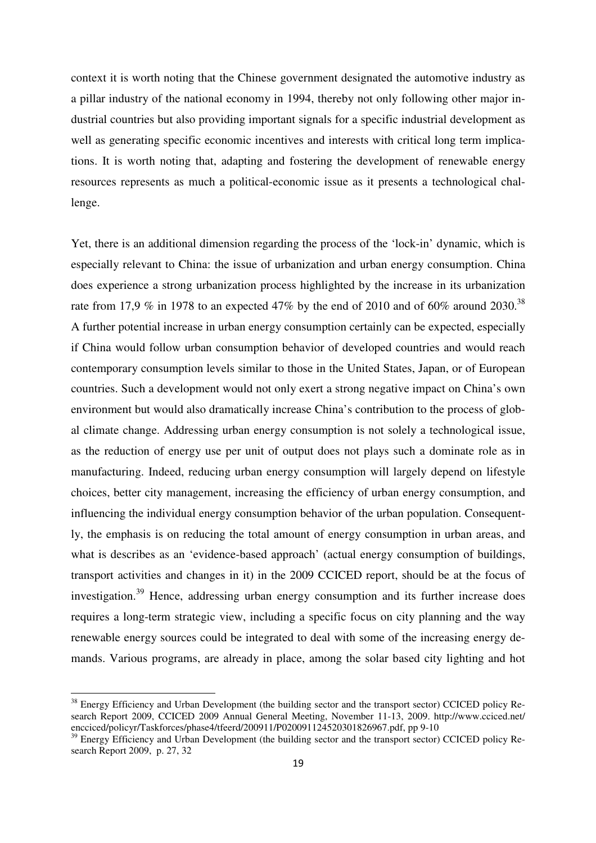context it is worth noting that the Chinese government designated the automotive industry as a pillar industry of the national economy in 1994, thereby not only following other major industrial countries but also providing important signals for a specific industrial development as well as generating specific economic incentives and interests with critical long term implications. It is worth noting that, adapting and fostering the development of renewable energy resources represents as much a political-economic issue as it presents a technological challenge.

Yet, there is an additional dimension regarding the process of the 'lock-in' dynamic, which is especially relevant to China: the issue of urbanization and urban energy consumption. China does experience a strong urbanization process highlighted by the increase in its urbanization rate from 17,9 % in 1978 to an expected 47% by the end of 2010 and of 60% around 2030.<sup>38</sup> A further potential increase in urban energy consumption certainly can be expected, especially if China would follow urban consumption behavior of developed countries and would reach contemporary consumption levels similar to those in the United States, Japan, or of European countries. Such a development would not only exert a strong negative impact on China's own environment but would also dramatically increase China's contribution to the process of global climate change. Addressing urban energy consumption is not solely a technological issue, as the reduction of energy use per unit of output does not plays such a dominate role as in manufacturing. Indeed, reducing urban energy consumption will largely depend on lifestyle choices, better city management, increasing the efficiency of urban energy consumption, and influencing the individual energy consumption behavior of the urban population. Consequently, the emphasis is on reducing the total amount of energy consumption in urban areas, and what is describes as an 'evidence-based approach' (actual energy consumption of buildings, transport activities and changes in it) in the 2009 CCICED report, should be at the focus of investigation.<sup>39</sup> Hence, addressing urban energy consumption and its further increase does requires a long-term strategic view, including a specific focus on city planning and the way renewable energy sources could be integrated to deal with some of the increasing energy demands. Various programs, are already in place, among the solar based city lighting and hot

<sup>&</sup>lt;sup>38</sup> Energy Efficiency and Urban Development (the building sector and the transport sector) CCICED policy Research Report 2009, CCICED 2009 Annual General Meeting, November 11-13, 2009. http://www.cciced.net/ encciced/policyr/Taskforces/phase4/tfeerd/200911/P020091124520301826967.pdf, pp 9-10

<sup>&</sup>lt;sup>39</sup> Energy Efficiency and Urban Development (the building sector and the transport sector) CCICED policy Research Report 2009, p. 27, 32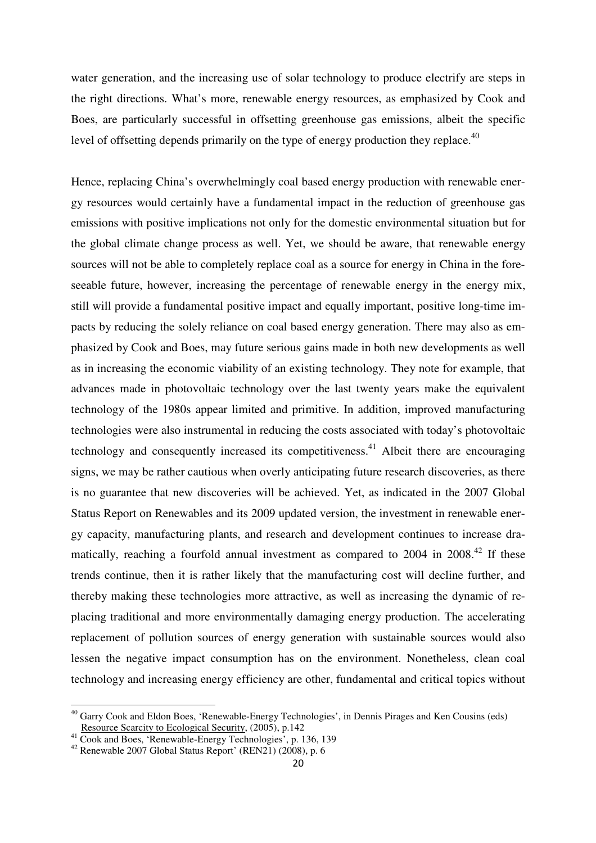water generation, and the increasing use of solar technology to produce electrify are steps in the right directions. What's more, renewable energy resources, as emphasized by Cook and Boes, are particularly successful in offsetting greenhouse gas emissions, albeit the specific level of offsetting depends primarily on the type of energy production they replace. $^{40}$ 

Hence, replacing China's overwhelmingly coal based energy production with renewable energy resources would certainly have a fundamental impact in the reduction of greenhouse gas emissions with positive implications not only for the domestic environmental situation but for the global climate change process as well. Yet, we should be aware, that renewable energy sources will not be able to completely replace coal as a source for energy in China in the foreseeable future, however, increasing the percentage of renewable energy in the energy mix, still will provide a fundamental positive impact and equally important, positive long-time impacts by reducing the solely reliance on coal based energy generation. There may also as emphasized by Cook and Boes, may future serious gains made in both new developments as well as in increasing the economic viability of an existing technology. They note for example, that advances made in photovoltaic technology over the last twenty years make the equivalent technology of the 1980s appear limited and primitive. In addition, improved manufacturing technologies were also instrumental in reducing the costs associated with today's photovoltaic technology and consequently increased its competitiveness.<sup>41</sup> Albeit there are encouraging signs, we may be rather cautious when overly anticipating future research discoveries, as there is no guarantee that new discoveries will be achieved. Yet, as indicated in the 2007 Global Status Report on Renewables and its 2009 updated version, the investment in renewable energy capacity, manufacturing plants, and research and development continues to increase dramatically, reaching a fourfold annual investment as compared to  $2004$  in  $2008.<sup>42</sup>$  If these trends continue, then it is rather likely that the manufacturing cost will decline further, and thereby making these technologies more attractive, as well as increasing the dynamic of replacing traditional and more environmentally damaging energy production. The accelerating replacement of pollution sources of energy generation with sustainable sources would also lessen the negative impact consumption has on the environment. Nonetheless, clean coal technology and increasing energy efficiency are other, fundamental and critical topics without

<sup>40</sup> Garry Cook and Eldon Boes, 'Renewable-Energy Technologies', in Dennis Pirages and Ken Cousins (eds) Resource Scarcity to Ecological Security, (2005), p.142

<sup>41</sup> Cook and Boes, 'Renewable-Energy Technologies', p. 136, 139

 $42$  Renewable 2007 Global Status Report' (REN21) (2008), p. 6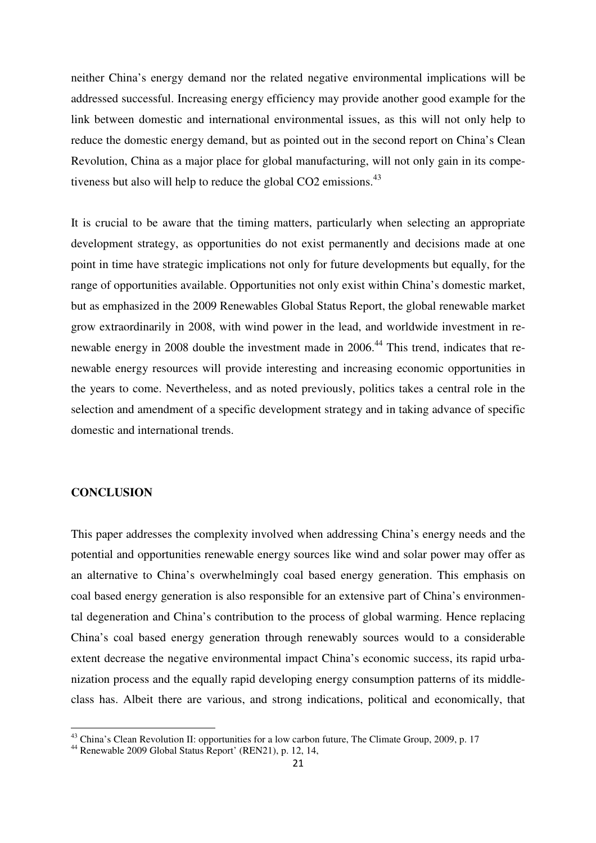neither China's energy demand nor the related negative environmental implications will be addressed successful. Increasing energy efficiency may provide another good example for the link between domestic and international environmental issues, as this will not only help to reduce the domestic energy demand, but as pointed out in the second report on China's Clean Revolution, China as a major place for global manufacturing, will not only gain in its competiveness but also will help to reduce the global CO2 emissions.<sup>43</sup>

It is crucial to be aware that the timing matters, particularly when selecting an appropriate development strategy, as opportunities do not exist permanently and decisions made at one point in time have strategic implications not only for future developments but equally, for the range of opportunities available. Opportunities not only exist within China's domestic market, but as emphasized in the 2009 Renewables Global Status Report, the global renewable market grow extraordinarily in 2008, with wind power in the lead, and worldwide investment in renewable energy in 2008 double the investment made in 2006.<sup>44</sup> This trend, indicates that renewable energy resources will provide interesting and increasing economic opportunities in the years to come. Nevertheless, and as noted previously, politics takes a central role in the selection and amendment of a specific development strategy and in taking advance of specific domestic and international trends.

### **CONCLUSION**

 $\overline{a}$ 

This paper addresses the complexity involved when addressing China's energy needs and the potential and opportunities renewable energy sources like wind and solar power may offer as an alternative to China's overwhelmingly coal based energy generation. This emphasis on coal based energy generation is also responsible for an extensive part of China's environmental degeneration and China's contribution to the process of global warming. Hence replacing China's coal based energy generation through renewably sources would to a considerable extent decrease the negative environmental impact China's economic success, its rapid urbanization process and the equally rapid developing energy consumption patterns of its middleclass has. Albeit there are various, and strong indications, political and economically, that

<sup>&</sup>lt;sup>43</sup> China's Clean Revolution II: opportunities for a low carbon future, The Climate Group, 2009, p. 17

<sup>44</sup> Renewable 2009 Global Status Report' (REN21), p. 12, 14,